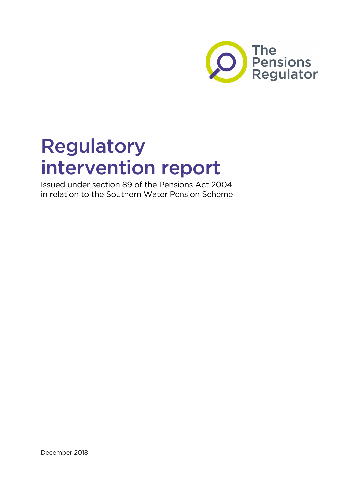

# Regulatory intervention report

Issued under section 89 of the Pensions Act 2004 in relation to the Southern Water Pension Scheme

December 2018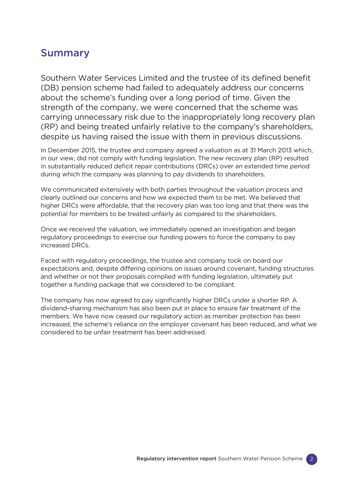### Summary

Southern Water Services Limited and the trustee of its defined benefit (DB) pension scheme had failed to adequately address our concerns about the scheme's funding over a long period of time. Given the strength of the company, we were concerned that the scheme was carrying unnecessary risk due to the inappropriately long recovery plan (RP) and being treated unfairly relative to the company's shareholders, despite us having raised the issue with them in previous discussions.

In December 2015, the trustee and company agreed a valuation as at 31 March 2013 which, in our view, did not comply with funding legislation. The new recovery plan (RP) resulted in substantially reduced deficit repair contributions (DRCs) over an extended time period during which the company was planning to pay dividends to shareholders.

We communicated extensively with both parties throughout the valuation process and clearly outlined our concerns and how we expected them to be met. We believed that higher DRCs were affordable, that the recovery plan was too long and that there was the potential for members to be treated unfairly as compared to the shareholders.

Once we received the valuation, we immediately opened an investigation and began regulatory proceedings to exercise our funding powers to force the company to pay increased DRCs.

Faced with regulatory proceedings, the trustee and company took on board our expectations and, despite differing opinions on issues around covenant, funding structures and whether or not their proposals complied with funding legislation, ultimately put together a funding package that we considered to be compliant.

The company has now agreed to pay significantly higher DRCs under a shorter RP. A dividend-sharing mechanism has also been put in place to ensure fair treatment of the members. We have now ceased our regulatory action as member protection has been increased, the scheme's reliance on the employer covenant has been reduced, and what we considered to be unfair treatment has been addressed.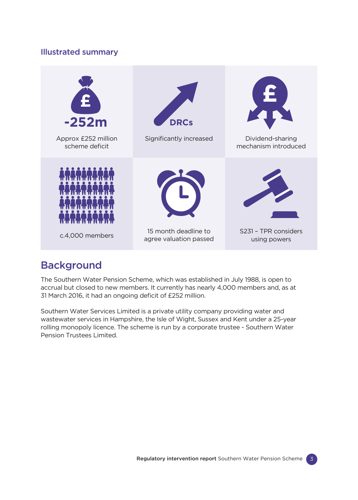### Illustrated summary



# **Background**

The Southern Water Pension Scheme, which was established in July 1988, is open to accrual but closed to new members. It currently has nearly 4,000 members and, as at 31 March 2016, it had an ongoing deficit of £252 million.

Southern Water Services Limited is a private utility company providing water and wastewater services in Hampshire, the Isle of Wight, Sussex and Kent under a 25-year rolling monopoly licence. The scheme is run by a corporate trustee - Southern Water Pension Trustees Limited.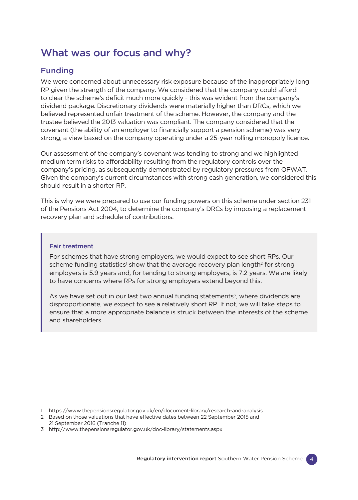# What was our focus and why?

### Funding

We were concerned about unnecessary risk exposure because of the inappropriately long RP given the strength of the company. We considered that the company could afford to clear the scheme's deficit much more quickly - this was evident from the company's dividend package. Discretionary dividends were materially higher than DRCs, which we believed represented unfair treatment of the scheme. However, the company and the trustee believed the 2013 valuation was compliant. The company considered that the covenant (the ability of an employer to financially support a pension scheme) was very strong, a view based on the company operating under a 25-year rolling monopoly licence.

Our assessment of the company's covenant was tending to strong and we highlighted medium term risks to affordability resulting from the regulatory controls over the company's pricing, as subsequently demonstrated by regulatory pressures from OFWAT. Given the company's current circumstances with strong cash generation, we considered this should result in a shorter RP.

This is why we were prepared to use our funding powers on this scheme under section 231 of the Pensions Act 2004, to determine the company's DRCs by imposing a replacement recovery plan and schedule of contributions.

#### Fair treatment

For schemes that have strong employers, we would expect to see short RPs. Our scheme funding statistics<sup>1</sup> show that the average recovery plan length<sup>2</sup> for strong employers is 5.9 years and, for tending to strong employers, is 7.2 years. We are likely to have concerns where RPs for strong employers extend beyond this.

As we have set out in our last two annual funding statements<sup>3</sup>, where dividends are disproportionate, we expect to see a relatively short RP. If not, we will take steps to ensure that a more appropriate balance is struck between the interests of the scheme and shareholders.

- 2 Based on those valuations that have effective dates between 22 September 2015 and 21 September 2016 (Tranche 11)
- 3 [http://www.thepensionsregulator.gov.uk/doc-library/statements.aspx](http://www.thepensionsregulator.gov.uk/doc-library/statements.aspx )

<sup>1</sup> <https://www.thepensionsregulator.gov.uk/en/document-library/research-and-analysis>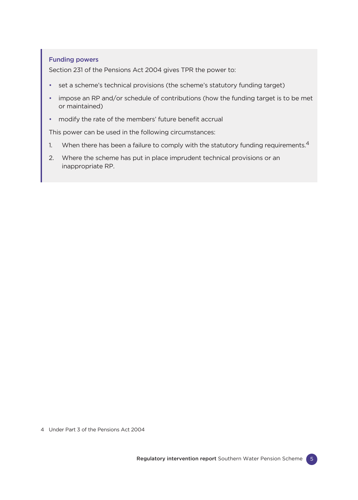#### Funding powers

Section 231 of the Pensions Act 2004 gives TPR the power to:

- set a scheme's technical provisions (the scheme's statutory funding target)
- impose an RP and/or schedule of contributions (how the funding target is to be met or maintained)
- modify the rate of the members' future benefit accrual

This power can be used in the following circumstances:

- 1. When there has been a failure to comply with the statutory funding requirements. $4$
- 2. Where the scheme has put in place imprudent technical provisions or an inappropriate RP.

4 Under Part 3 of the Pensions Act 2004

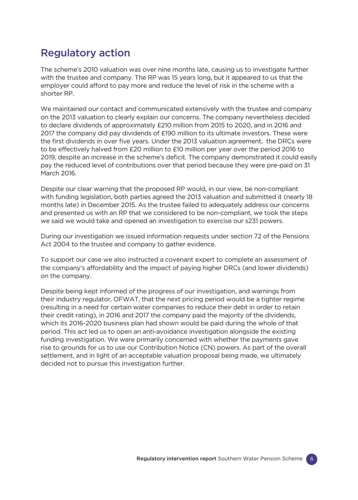### Regulatory action

The scheme's 2010 valuation was over nine months late, causing us to investigate further with the trustee and company. The RP was 15 years long, but it appeared to us that the employer could afford to pay more and reduce the level of risk in the scheme with a shorter RP.

We maintained our contact and communicated extensively with the trustee and company on the 2013 valuation to clearly explain our concerns. The company nevertheless decided to declare dividends of approximately £210 million from 2015 to 2020, and in 2016 and 2017 the company did pay dividends of £190 million to its ultimate investors. These were the first dividends in over five years. Under the 2013 valuation agreement, the DRCs were to be effectively halved from £20 million to £10 million per year over the period 2016 to 2019, despite an increase in the scheme's deficit. The company demonstrated it could easily pay the reduced level of contributions over that period because they were pre-paid on 31 March 2016.

Despite our clear warning that the proposed RP would, in our view, be non-compliant with funding legislation, both parties agreed the 2013 valuation and submitted it (nearly 18 months late) in December 2015. As the trustee failed to adequately address our concerns and presented us with an RP that we considered to be non-compliant, we took the steps we said we would take and opened an investigation to exercise our s231 powers.

During our investigation we issued information requests under section 72 of the Pensions Act 2004 to the trustee and company to gather evidence.

To support our case we also instructed a covenant expert to complete an assessment of the company's affordability and the impact of paying higher DRCs (and lower dividends) on the company.

Despite being kept informed of the progress of our investigation, and warnings from their industry regulator, OFWAT, that the next pricing period would be a tighter regime (resulting in a need for certain water companies to reduce their debt in order to retain their credit rating), in 2016 and 2017 the company paid the majority of the dividends, which its 2016-2020 business plan had shown would be paid during the whole of that period. This act led us to open an anti-avoidance investigation alongside the existing funding investigation. We were primarily concerned with whether the payments gave rise to grounds for us to use our Contribution Notice (CN) powers. As part of the overall settlement, and in light of an acceptable valuation proposal being made, we ultimately decided not to pursue this investigation further.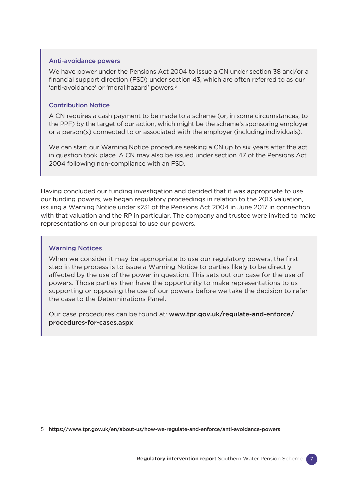#### Anti-avoidance powers

We have power under the Pensions Act 2004 to issue a CN under section 38 and/or a financial support direction (FSD) under section 43, which are often referred to as our 'anti-avoidance' or 'moral hazard' powers.<sup>5</sup>

#### Contribution Notice

A CN requires a cash payment to be made to a scheme (or, in some circumstances, to the PPF) by the target of our action, which might be the scheme's sponsoring employer or a person(s) connected to or associated with the employer (including individuals).

We can start our Warning Notice procedure seeking a CN up to six years after the act in question took place. A CN may also be issued under section 47 of the Pensions Act 2004 following non-compliance with an FSD.

Having concluded our funding investigation and decided that it was appropriate to use our funding powers, we began regulatory proceedings in relation to the 2013 valuation, issuing a Warning Notice under s231 of the Pensions Act 2004 in June 2017 in connection with that valuation and the RP in particular. The company and trustee were invited to make representations on our proposal to use our powers.

#### Warning Notices

When we consider it may be appropriate to use our regulatory powers, the first step in the process is to issue a Warning Notice to parties likely to be directly affected by the use of the power in question. This sets out our case for the use of powers. Those parties then have the opportunity to make representations to us supporting or opposing the use of our powers before we take the decision to refer the case to the Determinations Panel.

Our case procedures can be found at: [www.tpr.gov.uk/regulate-and-enforce/](http://www.thepensionsregulator.gov.uk/regulate-and-enforce/procedures-for-cases.aspx) [procedures-for-cases.aspx](http://www.thepensionsregulator.gov.uk/regulate-and-enforce/procedures-for-cases.aspx)

5 <https://www.tpr.gov.uk/en/about-us/how-we-regulate-and-enforce/anti-avoidance-powers>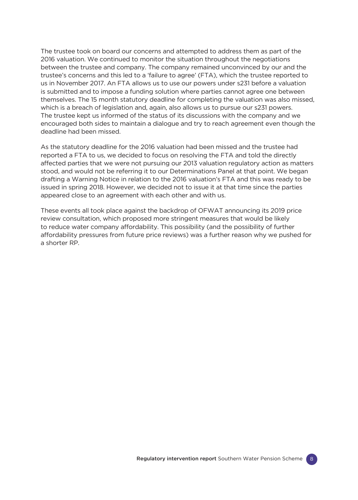The trustee took on board our concerns and attempted to address them as part of the 2016 valuation. We continued to monitor the situation throughout the negotiations between the trustee and company. The company remained unconvinced by our and the trustee's concerns and this led to a 'failure to agree' (FTA), which the trustee reported to us in November 2017. An FTA allows us to use our powers under s231 before a valuation is submitted and to impose a funding solution where parties cannot agree one between themselves. The 15 month statutory deadline for completing the valuation was also missed, which is a breach of legislation and, again, also allows us to pursue our s231 powers. The trustee kept us informed of the status of its discussions with the company and we encouraged both sides to maintain a dialogue and try to reach agreement even though the deadline had been missed.

As the statutory deadline for the 2016 valuation had been missed and the trustee had reported a FTA to us, we decided to focus on resolving the FTA and told the directly affected parties that we were not pursuing our 2013 valuation regulatory action as matters stood, and would not be referring it to our Determinations Panel at that point. We began drafting a Warning Notice in relation to the 2016 valuation's FTA and this was ready to be issued in spring 2018. However, we decided not to issue it at that time since the parties appeared close to an agreement with each other and with us.

These events all took place against the backdrop of OFWAT announcing its 2019 price review consultation, which proposed more stringent measures that would be likely to reduce water company affordability. This possibility (and the possibility of further affordability pressures from future price reviews) was a further reason why we pushed for a shorter RP.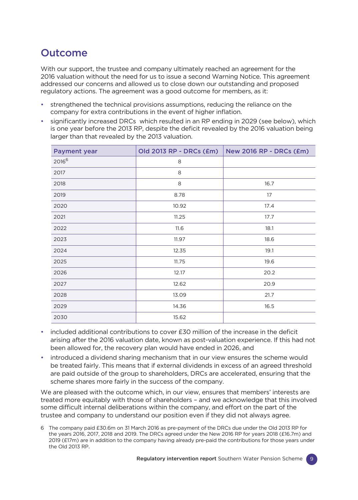### **Outcome**

With our support, the trustee and company ultimately reached an agreement for the 2016 valuation without the need for us to issue a second Warning Notice. This agreement addressed our concerns and allowed us to close down our outstanding and proposed regulatory actions. The agreement was a good outcome for members, as it:

- strengthened the technical provisions assumptions, reducing the reliance on the company for extra contributions in the event of higher inflation.
- significantly increased DRCs which resulted in an RP ending in 2029 (see below), which is one year before the 2013 RP, despite the deficit revealed by the 2016 valuation being larger than that revealed by the 2013 valuation.

| <b>Payment year</b> | Old 2013 RP - DRCs (£m) | <b>New 2016 RP - DRCs (£m)</b> |
|---------------------|-------------------------|--------------------------------|
| 20166               | 8                       |                                |
| 2017                | 8                       |                                |
| 2018                | $\,8\,$                 | 16.7                           |
| 2019                | 8.78                    | 17                             |
| 2020                | 10.92                   | 17.4                           |
| 2021                | 11.25                   | 17.7                           |
| 2022                | 11.6                    | 18.1                           |
| 2023                | 11.97                   | 18.6                           |
| 2024                | 12.35                   | 19.1                           |
| 2025                | 11.75                   | 19.6                           |
| 2026                | 12.17                   | 20.2                           |
| 2027                | 12.62                   | 20.9                           |
| 2028                | 13.09                   | 21.7                           |
| 2029                | 14.36                   | 16.5                           |
| 2030                | 15.62                   |                                |

- included additional contributions to cover £30 million of the increase in the deficit arising after the 2016 valuation date, known as post-valuation experience. If this had not been allowed for, the recovery plan would have ended in 2026, and
- introduced a dividend sharing mechanism that in our view ensures the scheme would be treated fairly. This means that if external dividends in excess of an agreed threshold are paid outside of the group to shareholders, DRCs are accelerated, ensuring that the scheme shares more fairly in the success of the company.

We are pleased with the outcome which, in our view, ensures that members' interests are treated more equitably with those of shareholders – and we acknowledge that this involved some difficult internal deliberations within the company, and effort on the part of the trustee and company to understand our position even if they did not always agree.

6 The company paid £30.6m on 31 March 2016 as pre-payment of the DRCs due under the Old 2013 RP for the years 2016, 2017, 2018 and 2019. The DRCs agreed under the New 2016 RP for years 2018 (£16.7m) and 2019 (£17m) are in addition to the company having already pre-paid the contributions for those years under the Old 2013 RP.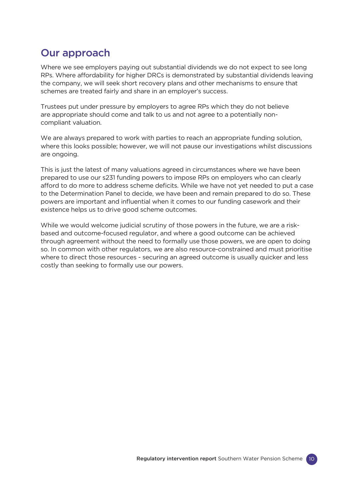### Our approach

Where we see employers paying out substantial dividends we do not expect to see long RPs. Where affordability for higher DRCs is demonstrated by substantial dividends leaving the company, we will seek short recovery plans and other mechanisms to ensure that schemes are treated fairly and share in an employer's success.

Trustees put under pressure by employers to agree RPs which they do not believe are appropriate should come and talk to us and not agree to a potentially noncompliant valuation.

We are always prepared to work with parties to reach an appropriate funding solution, where this looks possible; however, we will not pause our investigations whilst discussions are ongoing.

This is just the latest of many valuations agreed in circumstances where we have been prepared to use our s231 funding powers to impose RPs on employers who can clearly afford to do more to address scheme deficits. While we have not yet needed to put a case to the Determination Panel to decide, we have been and remain prepared to do so. These powers are important and influential when it comes to our funding casework and their existence helps us to drive good scheme outcomes.

While we would welcome judicial scrutiny of those powers in the future, we are a riskbased and outcome-focused regulator, and where a good outcome can be achieved through agreement without the need to formally use those powers, we are open to doing so. In common with other regulators, we are also resource-constrained and must prioritise where to direct those resources - securing an agreed outcome is usually quicker and less costly than seeking to formally use our powers.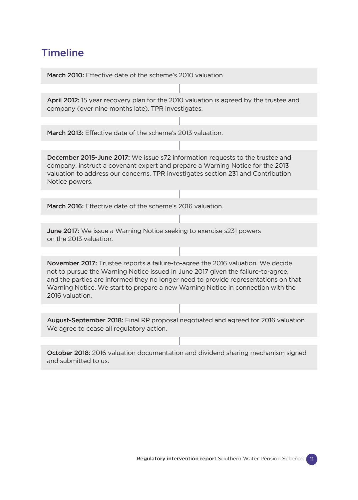### **Timeline**

March 2010: Effective date of the scheme's 2010 valuation.

April 2012: 15 year recovery plan for the 2010 valuation is agreed by the trustee and company (over nine months late). TPR investigates.

March 2013: Effective date of the scheme's 2013 valuation.

December 2015-June 2017: We issue s72 information requests to the trustee and company, instruct a covenant expert and prepare a Warning Notice for the 2013 valuation to address our concerns. TPR investigates section 231 and Contribution Notice powers.

March 2016: Effective date of the scheme's 2016 valuation.

June 2017: We issue a Warning Notice seeking to exercise s231 powers on the 2013 valuation.

November 2017: Trustee reports a failure-to-agree the 2016 valuation. We decide not to pursue the Warning Notice issued in June 2017 given the failure-to-agree, and the parties are informed they no longer need to provide representations on that Warning Notice. We start to prepare a new Warning Notice in connection with the 2016 valuation.

August-September 2018: Final RP proposal negotiated and agreed for 2016 valuation. We agree to cease all regulatory action.

October 2018: 2016 valuation documentation and dividend sharing mechanism signed and submitted to us.